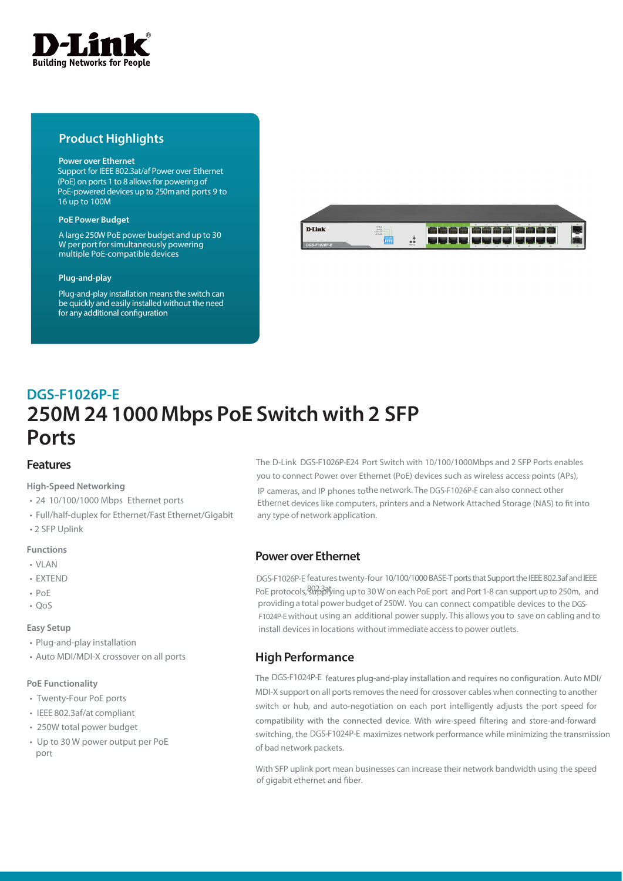

## **Product Highlights**

#### **Power over Ethernet**

Support for IEEE 802.3at/af Power over Ethernet (PoE) on ports 1 to 8 allows for powering of PoE-powered devices up to 250m and ports 9 to 16 up to 100M

#### **PoE Power Budget**

A large 250W PoE power budget and up to 30 W per port for simultaneously powering multiple PoE-compatible devices

#### **Plug-and-play**

Plug-and-play installation means the switch can be quickly and easily installed without the need for any additional configuration

| <b>D-Link</b> | $N$ Oct<br><b>ALPUS</b><br>ALENNA .<br>ALVLAN |  | 1D | 8.96<br>14<br>T Em | 16         |              | 22<br>24 |       |
|---------------|-----------------------------------------------|--|----|--------------------|------------|--------------|----------|-------|
| DGS-F1026P-E  | w                                             |  |    | 13<br>31           | 15.<br>TT. | $\mathbf{u}$ | 23<br>s. | $-25$ |

# **DGS-F1026P-E 250M 24 1000 Mbps PoE Switch with 2 SFP Ports**

## **Features**

**High-Speed Networking**

- 24 10/100/1000 Mbps Ethernet ports
- Full/half-duplex for Ethernet/Fast Ethernet/Gigabit
- 2 SFP Uplink

#### **Functions**

### • VLAN

- EXTEND
- PoE
- QoS

#### **Easy Setup**

- Plug-and-play installation
- Auto MDI/MDI-X crossover on all ports

#### **PoE Functionality**

- Twenty-Four PoE ports
- IEEE 802.3af/at compliant
- 250W total power budget
- Up to 30 W power output per PoE port

The D-Link DGS-F1026P-E24 Port Switch with 10/100/1000Mbps and 2 SFP Ports enables you to connect Power over Ethernet (PoE) devices such as wireless access points (APs), IP cameras, and IP phones to the network. The DGS-F1026P-E can also connect other Ethernet devices like computers, printers and a Network Attached Storage (NAS) to fit into any type of network application.

## **Power over Ethernet**

PoE protocols, Supplying up to 30 W on each PoE port and Port 1-8 can support up to 250m, and providing a total power budget of 250W. You can connect compatible devices to the DGS-F1024P-E without using an additional power supply. This allows you to save on cabling and to install devices in locations without immediate access to power outlets. DGS-F1026P-E features twenty-four 10/100/1000 BASE-T ports that Support the IEEE 802.3af and IEEE

## **High Performance**

The DGS-F1024P-E features plug-and-play installation and requires no configuration. Auto MDI/ MDI-X support on all ports removes the need for crossover cables when connecting to another switch or hub, and auto-negotiation on each port intelligently adjusts the port speed for compatibility with the connected device. With wire-speed filtering and store-and-forward switching, the DGS-F1024P-E maximizes network performance while minimizing the transmission of bad network packets.

With SFP uplink port mean businesses can increase their network bandwidth using the speed of gigabit ethernet and fiber.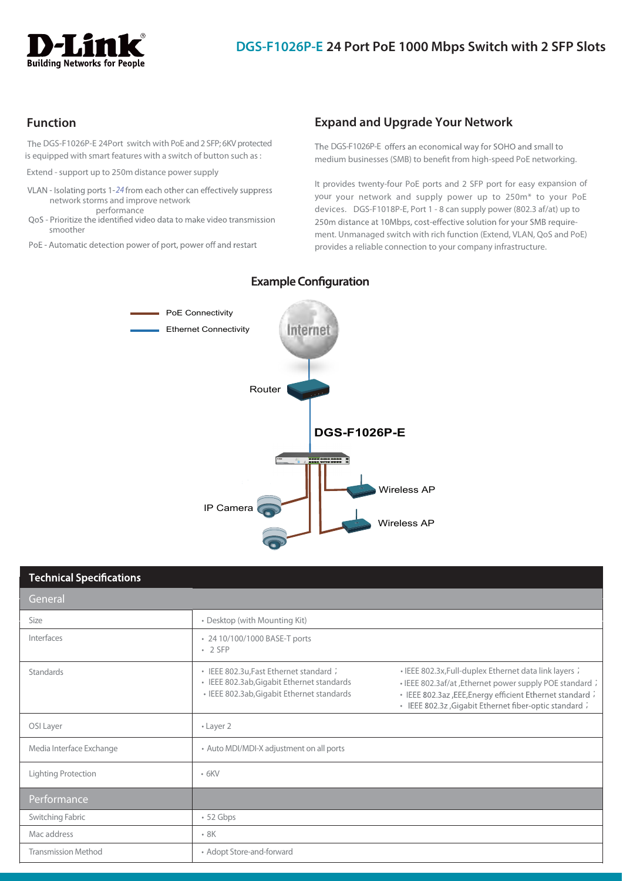

## **Function**

The DGS-F1026P-E 24Port switch with PoE and 2 SFP; 6KV protected is equipped with smart features with a switch of button such as :

Extend - support up to 250m distance power supply

- VLAN Isolating ports 1-24 from each other can effectively suppress network storms and improve network
- smoother performance<br>QoS - Prioritize the identified video data to make video transmission

PoE - Automatic detection power of port, power off and restart

## **Expand and Upgrade Your Network**

The DGS-F1026P-E offers an economical way for SOHO and small to medium businesses (SMB) to benefit from high-speed PoE networking.

It provides twenty-four PoE ports and 2 SFP port for easy expansion of your your network and supply power up to 250m\* to your PoE devices. DGS-F1018P-E, Port 1 - 8 can supply power (802.3 af/at) up to 250m distance at 10Mbps, cost-effective solution for your SMB requirement. Unmanaged switch with rich function (Extend, VLAN, QoS and PoE) provides a reliable connection to your company infrastructure.



## **Example Configuration**

| <b>Technical Specifications</b> |                                                                                                                                     |                                                                                                                                                                                                                                             |  |  |  |
|---------------------------------|-------------------------------------------------------------------------------------------------------------------------------------|---------------------------------------------------------------------------------------------------------------------------------------------------------------------------------------------------------------------------------------------|--|--|--|
| General                         |                                                                                                                                     |                                                                                                                                                                                                                                             |  |  |  |
| Size                            | • Desktop (with Mounting Kit)                                                                                                       |                                                                                                                                                                                                                                             |  |  |  |
| Interfaces                      | • 24 10/100/1000 BASE-T ports<br>$\cdot$ 2 SFP                                                                                      |                                                                                                                                                                                                                                             |  |  |  |
| Standards                       | • IEEE 802.3u, Fast Ethernet standard ;<br>• IEEE 802.3ab, Gigabit Ethernet standards<br>· IEEE 802.3ab, Gigabit Ethernet standards | • IEEE 802.3x, Full-duplex Ethernet data link layers ;<br>• IEEE 802.3af/at , Ethernet power supply POE standard ;<br>• IEEE 802.3az , EEE, Energy efficient Ethernet standard ;<br>· IEEE 802.3z , Gigabit Ethernet fiber-optic standard ; |  |  |  |
| OSI Layer                       | • Layer 2                                                                                                                           |                                                                                                                                                                                                                                             |  |  |  |
| Media Interface Exchange        | • Auto MDI/MDI-X adjustment on all ports                                                                                            |                                                                                                                                                                                                                                             |  |  |  |
| <b>Lighting Protection</b>      | $-6KV$                                                                                                                              |                                                                                                                                                                                                                                             |  |  |  |
| Performance                     |                                                                                                                                     |                                                                                                                                                                                                                                             |  |  |  |
| Switching Fabric                | $\cdot$ 52 Gbps                                                                                                                     |                                                                                                                                                                                                                                             |  |  |  |
| Mac address                     | $\cdot$ 8K                                                                                                                          |                                                                                                                                                                                                                                             |  |  |  |
| <b>Transmission Method</b>      | • Adopt Store-and-forward                                                                                                           |                                                                                                                                                                                                                                             |  |  |  |